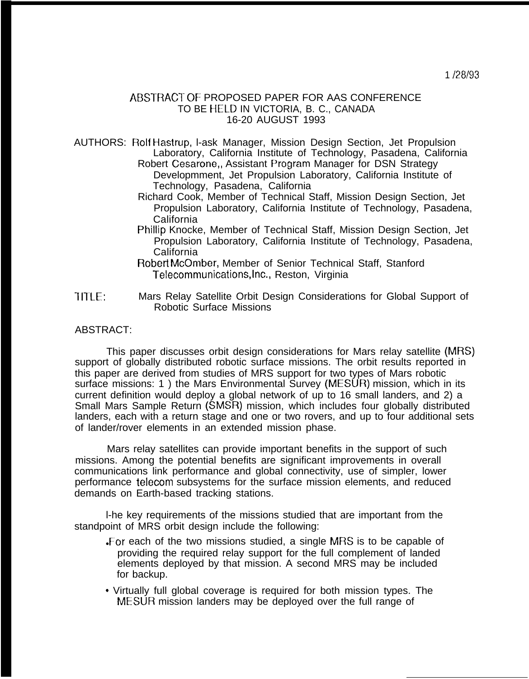## ABSTRACT OF PROPOSED PAPER FOR AAS CONFERENCE TO BE HELD IN VICTORIA, B. C., CANADA 16-20 AUGUST 1993

AUTHORS: Rolf Hastrup, l-ask Manager, Mission Design Section, Jet Propulsion Laboratory, California Institute of Technology, Pasadena, California Robert Cesarone,, Assistant Program Manager for DSN Strategy Developmment, Jet Propulsion Laboratory, California Institute of Technology, Pasadena, California

- Richard Cook, Member of Technical Staff, Mission Design Section, Jet Propulsion Laboratory, California Institute of Technology, Pasadena, California
- Phillip Knocke, Member of Technical Staff, Mission Design Section, Jet Propulsion Laboratory, California Institute of Technology, Pasadena, California
- Robert McOmber, Member of Senior Technical Staff, Stanford Telecommunications,lnc., Reston, Virginia
- 1 ITLE: Mars Relay Satellite Orbit Design Considerations for Global Support of Robotic Surface Missions

## ABSTRACT:

This paper discusses orbit design considerations for Mars relay satellite (MRS) support of globally distributed robotic surface missions. The orbit results reported in this paper are derived from studies of MRS support for two types of Mars robotic surface missions: 1) the Mars Environmental Survey (MESUR) mission, which in its current definition would deploy a global network of up to 16 small landers, and 2) a Small Mars Sample Return (SMSR) mission, which includes four globally distributed landers, each with a return stage and one or two rovers, and up to four additional sets of lander/rover elements in an extended mission phase.

Mars relay satellites can provide important benefits in the support of such missions. Among the potential benefits are significant improvements in overall communications link performance and global connectivity, use of simpler, lower performance telecom subsystems for the surface mission elements, and reduced demands on Earth-based tracking stations.

l-he key requirements of the missions studied that are important from the standpoint of MRS orbit design include the following:

- For each of the two missions studied, a single MRS is to be capable of providing the required relay support for the full complement of landed elements deployed by that mission. A second MRS may be included for backup.
- " Virtually full global coverage is required for both mission types. The MESUR mission landers may be deployed over the full range of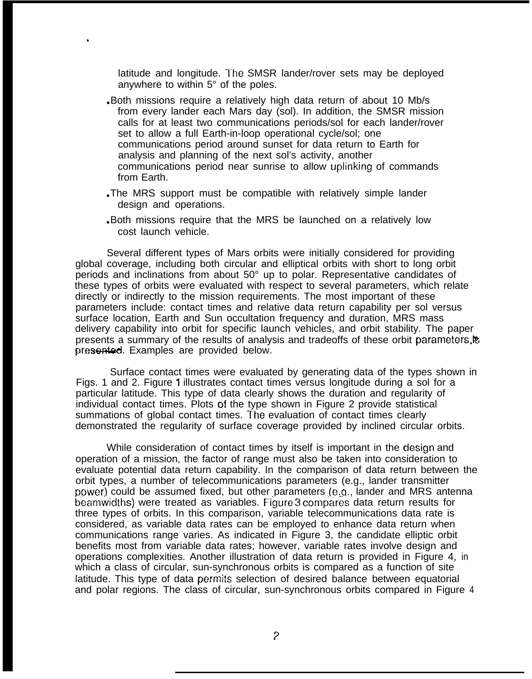latitude and longitude. The SMSR lander/rover sets may be deployed anywhere to within 5° of the poles.

.

- . Both missions require a relatively high data return of about 10 Mb/s from every lander each Mars day (sol). In addition, the SMSR mission calls for at least two communications periods/sol for each lander/rover set to allow a full Earth-in-loop operational cycle/sol; one communications period around sunset for data return to Earth for analysis and planning of the next sol's activity, another communications period near sunrise to allow uplinking of commands from Earth.
- The MRS support must be compatible with relatively simple lander design and operations.
- . Both missions require that the MRS be launched on a relatively low cost launch vehicle.

Several different types of Mars orbits were initially considered for providing global coverage, including both circular and elliptical orbits with short to long orbit periods and inclinations from about 50° up to polar. Representative candidates of these types of orbits were evaluated with respect to several parameters, which relate directly or indirectly to the mission requirements. The most important of these parameters include: contact times and relative data return capability per sol versus surface location, Earth and Sun occultation frequency and duration, MRS mass delivery capability into orbit for specific launch vehicles, and orbit stability. The paper presents a summary of the results of analysis and tradeoffs of these orbit parameters. presented. Examples are provided below.

Surface contact times were evaluated by generating data of the types shown in Figs. 1 and 2. Figure 1 illustrates contact times versus longitude during a sol for a particular latitude. This type of data clearly shows the duration and regularity of individual contact times. Plots of the type shown in Figure 2 provide statistical summations of global contact times. The evaluation of contact times clearly demonstrated the regularity of surface coverage provided by inclined circular orbits.

While consideration of contact times by itself is important in the design and operation of a mission, the factor of range must also be taken into consideration to evaluate potential data return capability. In the comparison of data return between the orbit types, a number of telecommunications parameters (e.g., lander transmitter power) could be assumed fixed, but other parameters (e.g., lander and MRS antenna beamwidths) were treated as variables. Figure 3 compares data return results for three types of orbits. In this comparison, variable telecommunications data rate is considered, as variable data rates can be employed to enhance data return when communications range varies. As indicated in Figure 3, the candidate elliptic orbit benefits most from variable data rates; however, variable rates involve design and operations complexities. Another illustration of data return is provided in Figure 4, in which a class of circular, sun-synchronous orbits is compared as a function of site latitude. This type of data permits selection of desired balance between equatorial and polar regions. The class of circular, sun-synchronous orbits compared in Figure 4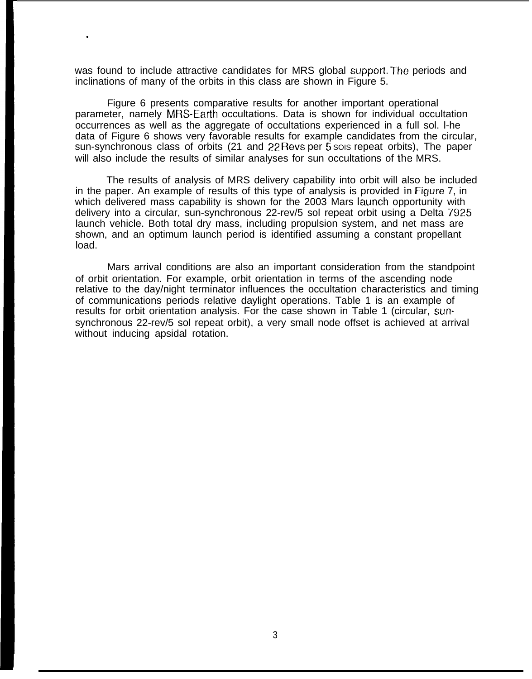was found to include attractive candidates for MRS global support. The periods and inclinations of many of the orbits in this class are shown in Figure 5.

.

Figure 6 presents comparative results for another important operational parameter, namely MRS-Earth occultations. Data is shown for individual occultation occurrences as well as the aggregate of occultations experienced in a full sol. l-he data of Figure 6 shows very favorable results for example candidates from the circular, sun-synchronous class of orbits (21 and 22 Revs per  $\overline{5}$  sois repeat orbits), The paper will also include the results of similar analyses for sun occultations of the MRS.

The results of analysis of MRS delivery capability into orbit will also be included in the paper. An example of results of this type of analysis is provided in Figure 7, in which delivered mass capability is shown for the 2003 Mars launch opportunity with delivery into a circular, sun-synchronous 22-rev/5 sol repeat orbit using a Delta 7925 launch vehicle. Both total dry mass, including propulsion system, and net mass are shown, and an optimum launch period is identified assuming a constant propellant load.

Mars arrival conditions are also an important consideration from the standpoint of orbit orientation. For example, orbit orientation in terms of the ascending node relative to the day/night terminator influences the occultation characteristics and timing of communications periods relative daylight operations. Table 1 is an example of results for orbit orientation analysis. For the case shown in Table 1 (circular, sunsynchronous 22-rev/5 sol repeat orbit), a very small node offset is achieved at arrival without inducing apsidal rotation.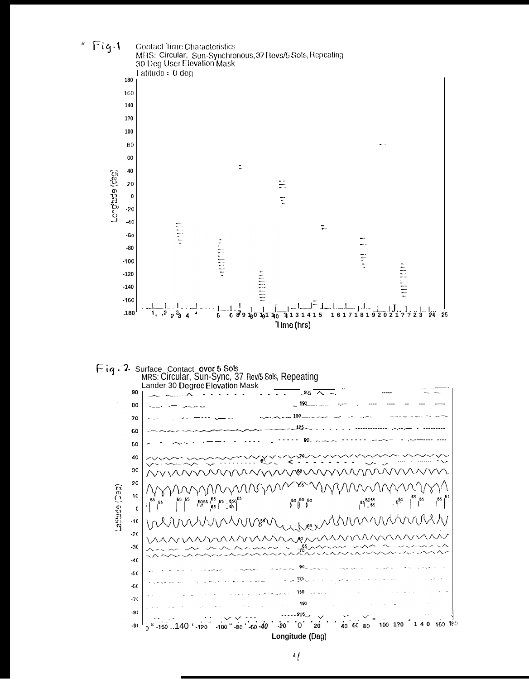

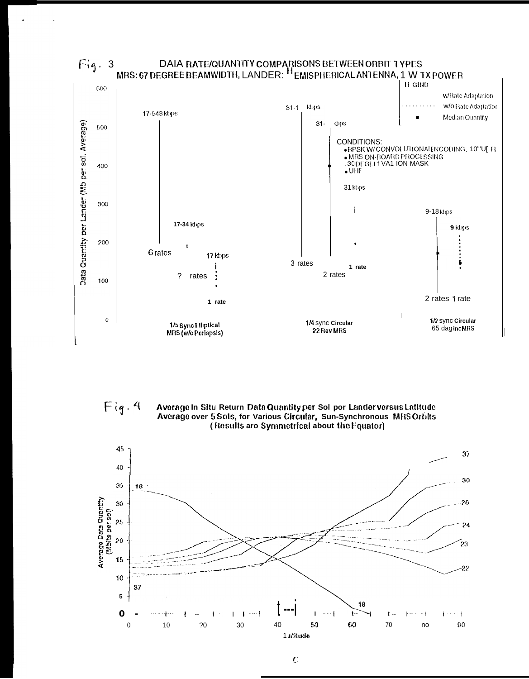

DAIA RATE/QUANTITY COMPARISONS BETWEEN ORBIT TYPES<br>MRS: 67 DEGREE BEAMWIDTH, LANDER: Hemispherical ANTENNA, 1 W TX POWER  $Fig. 3$ 

 $Fig. 4$ Average In Situ Return Data Quantity per Sol por Landerversus Latitude Average over 5 Sols, for Various Circular, Sun-Synchronous MRS Orbits (Results aro Symmetrical about the Equator)



 $\boldsymbol{U}$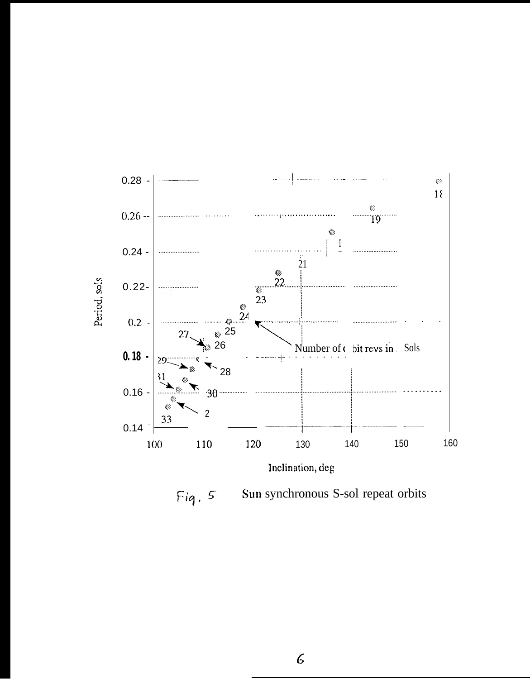

Sun synchronous S-sol repeat orbits  $Fig. 5$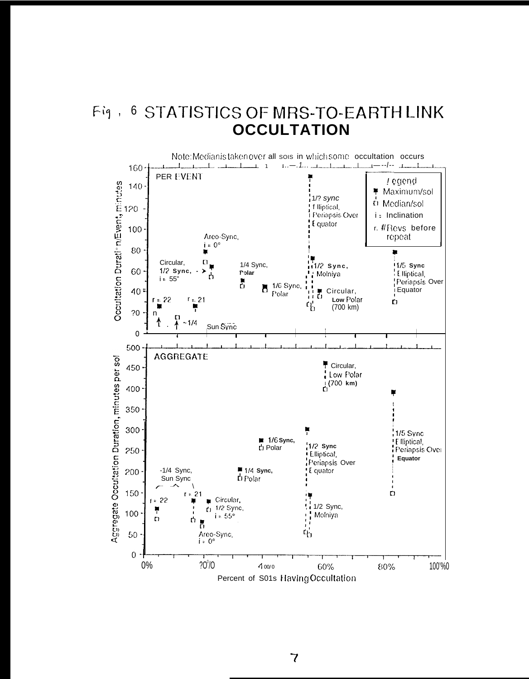## Fig., 6 STATISTICS OF MRS-TO-EARTH LINK **OCCULTATION**